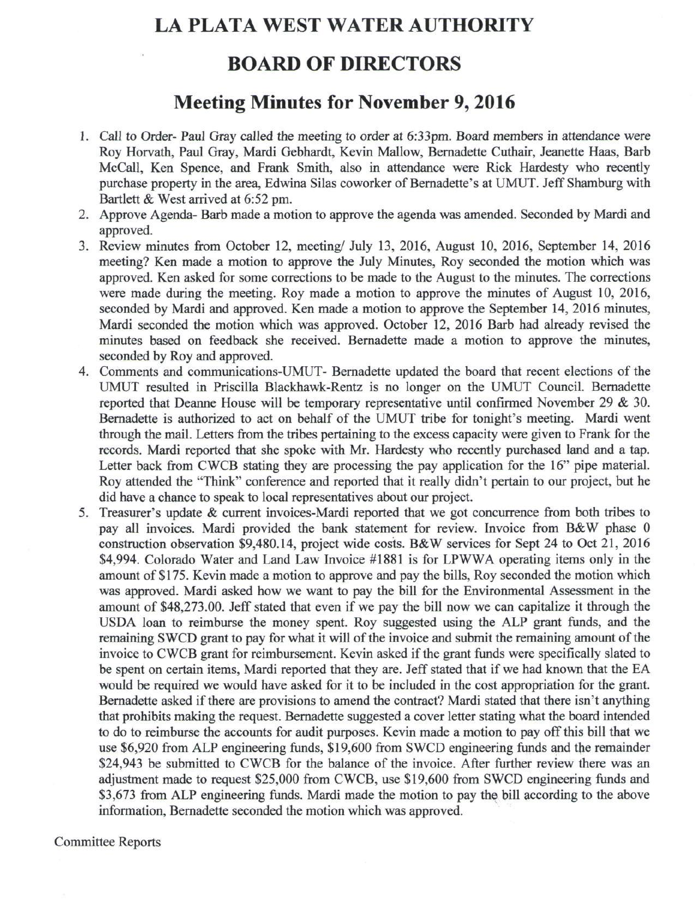## **LA PLATA WEST WATER AUTHORITY**

## **BOARD OF DIRECTORS**

## **Meeting Minutes for November 9,2016**

- 1. Call to Order- Paul Gray called the meeting to order at 6:33pm. Board members in attendance were Roy Horvath, Paul Gray, Mardi Gebhardt, Kevin Mallow, Bernadette Cuthair, Jeanette Haas, Barb McCall, Ken Spence, and Frank Smith, also in attendance were Rick Hardesty who recently purchase property in the area, Edwina Silas coworker of Bernadette's at UMUT. Jeff Shamburg with Bartlett & West arrived at 6:52 pm.
- 2. Approve Agenda- Barb made a motion to approve the agenda was amended. Seconded by Mardi and approved.
- 3. Review minutes from October 12, meeting/ July 13, 2016, August 10, 2016, September 14, 2016 meeting? Ken made a motion to approve the July Minutes, Roy seconded the motion which was approved. Ken asked for some corrections to be made to the August to the minutes. The corrections were made during the meeting. Roy made a motion to approve the minutes of August 10, 2016, seconded by Mardi and approved. Ken made a motion to approve the September 14, 2016 minutes, Mardi seconded the motion which was approved. October 12, 2016 Barb had already revised the minutes based on feedback she received. Bernadette made a motion to approve the minutes, seconded by Roy and approved.
- 4. Comments and communications-UMUT- Bernadette updated the board that recent elections of the UMUT resulted in Priscilla Blackhawk-Rentz is no longer on the UMUT Council. Bernadette reported that Deanne House will be temporary representative until confirmed November 29 & 30. Bernadette is authorized to act on behalf of the UMUT tribe for tonight's meeting. Mardi went through the mail. Letters from the tribes pertaining to the excess capacity were given to Frank for the records. Mardi reported that she spoke with Mr. Hardesty who recently purchased land and a tap. Letter back from CWCB stating they are processing the pay application for the 16" pipe material. Roy attended the "Think" conference and reported that it really didn't pertain to our project, but he did have a chance to speak to local representatives about our project.
- 5. Treasurer's update & current invoices-Mardi reported that we got concurrence from both tribes to pay all invoices. Mardi provided the bank statement for review. Invoice from B&W phase 0 construction observation \$9,480.14, project wide costs. B&W services for Sept 24 to Oct 21, 2016 \$4,994. Colorado Water and Land Law Invoice #1881 is for LPWWA operating items only in the amount of \$175. Kevin made a motion to approve and pay the bills, Roy seconded the motion which was approved. Mardi asked how we want to pay the bill for the Environmental Assessment in the amount of \$48,273.00. Jeff stated that even if we pay the bill now we can capitalize it through the USDA loan to reimburse the money spent. Roy suggested using the ALP grant funds, and the remaining SWCD grant to pay for what it will of the invoice and submit the remaining amount of the invoice to CWCB grant for reimbursement. Kevin asked if the grant funds were specifically slated to be spent on certain items, Mardi reported that they are. Jeff stated that if we had known that the EA would be required we would have asked for it to be included in the cost appropriation for the grant. Bernadette asked if there are provisions to amend the contract? Mardi stated that there isn't anything that prohibits making the request. Bernadette suggested a cover letter stating what the board intended to do to reimburse the accounts for audit purposes. Kevin made a motion to pay off this bill that we use \$6,920 from ALP engineering funds, \$19,600 from SWCD engineering funds and the remainder \$24,943 be submitted to CWCB for the balance of the invoice. After further review there was an adjustment made to request \$25,000 from CWCB, use \$19,600 from SWCD engineering funds and \$3,673 from ALP engineering funds. Mardi made the motion to pay the bill according to the above information, Bernadette seconded the motion which was approved.

Committee Reports